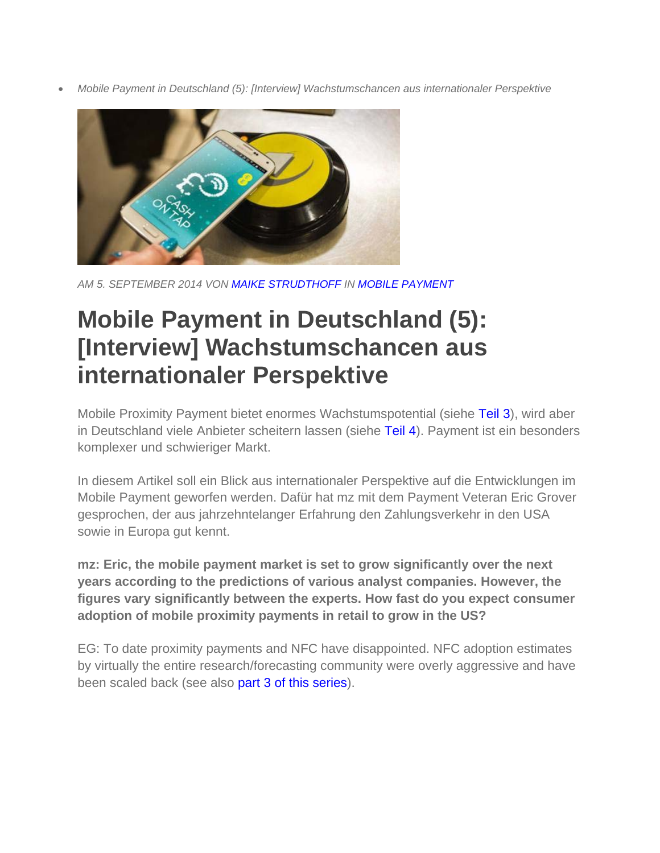*Mobile Payment in Deutschland (5): [Interview] Wachstumschancen aus internationaler Perspektive* 



*AM 5. SEPTEMBER 2014 VON MAIKE STRUDTHOFF IN MOBILE PAYMENT*

# **Mobile Payment in Deutschland (5): [Interview] Wachstumschancen aus internationaler Perspektive**

Mobile Proximity Payment bietet enormes Wachstumspotential (siehe Teil 3), wird aber in Deutschland viele Anbieter scheitern lassen (siehe Teil 4). Payment ist ein besonders komplexer und schwieriger Markt.

In diesem Artikel soll ein Blick aus internationaler Perspektive auf die Entwicklungen im Mobile Payment geworfen werden. Dafür hat mz mit dem Payment Veteran Eric Grover gesprochen, der aus jahrzehntelanger Erfahrung den Zahlungsverkehr in den USA sowie in Europa gut kennt.

**mz: Eric, the mobile payment market is set to grow significantly over the next years according to the predictions of various analyst companies. However, the figures vary significantly between the experts. How fast do you expect consumer adoption of mobile proximity payments in retail to grow in the US?**

EG: To date proximity payments and NFC have disappointed. NFC adoption estimates by virtually the entire research/forecasting community were overly aggressive and have been scaled back (see also part 3 of this series).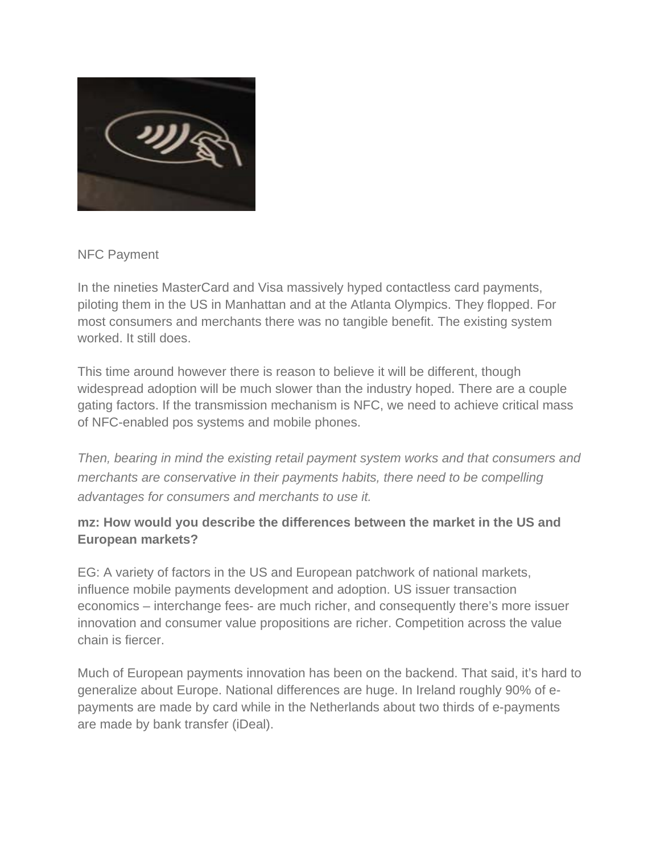

NFC Payment

In the nineties MasterCard and Visa massively hyped contactless card payments, piloting them in the US in Manhattan and at the Atlanta Olympics. They flopped. For most consumers and merchants there was no tangible benefit. The existing system worked. It still does.

This time around however there is reason to believe it will be different, though widespread adoption will be much slower than the industry hoped. There are a couple gating factors. If the transmission mechanism is NFC, we need to achieve critical mass of NFC-enabled pos systems and mobile phones.

*Then, bearing in mind the existing retail payment system works and that consumers and merchants are conservative in their payments habits, there need to be compelling advantages for consumers and merchants to use it.* 

### **mz: How would you describe the differences between the market in the US and European markets?**

EG: A variety of factors in the US and European patchwork of national markets, influence mobile payments development and adoption. US issuer transaction economics – interchange fees- are much richer, and consequently there's more issuer innovation and consumer value propositions are richer. Competition across the value chain is fiercer.

Much of European payments innovation has been on the backend. That said, it's hard to generalize about Europe. National differences are huge. In Ireland roughly 90% of epayments are made by card while in the Netherlands about two thirds of e-payments are made by bank transfer (iDeal).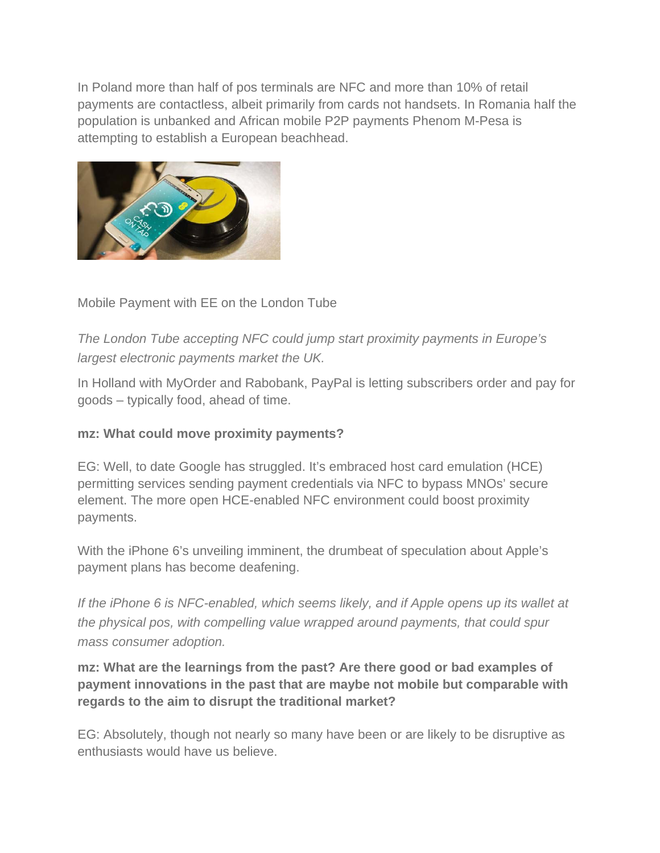In Poland more than half of pos terminals are NFC and more than 10% of retail payments are contactless, albeit primarily from cards not handsets. In Romania half the population is unbanked and African mobile P2P payments Phenom M-Pesa is attempting to establish a European beachhead.



## Mobile Payment with EE on the London Tube

*The London Tube accepting NFC could jump start proximity payments in Europe's largest electronic payments market the UK.* 

In Holland with MyOrder and Rabobank, PayPal is letting subscribers order and pay for goods – typically food, ahead of time.

#### **mz: What could move proximity payments?**

EG: Well, to date Google has struggled. It's embraced host card emulation (HCE) permitting services sending payment credentials via NFC to bypass MNOs' secure element. The more open HCE-enabled NFC environment could boost proximity payments.

With the iPhone 6's unveiling imminent, the drumbeat of speculation about Apple's payment plans has become deafening.

*If the iPhone 6 is NFC-enabled, which seems likely, and if Apple opens up its wallet at the physical pos, with compelling value wrapped around payments, that could spur mass consumer adoption.* 

**mz: What are the learnings from the past? Are there good or bad examples of payment innovations in the past that are maybe not mobile but comparable with regards to the aim to disrupt the traditional market?** 

EG: Absolutely, though not nearly so many have been or are likely to be disruptive as enthusiasts would have us believe.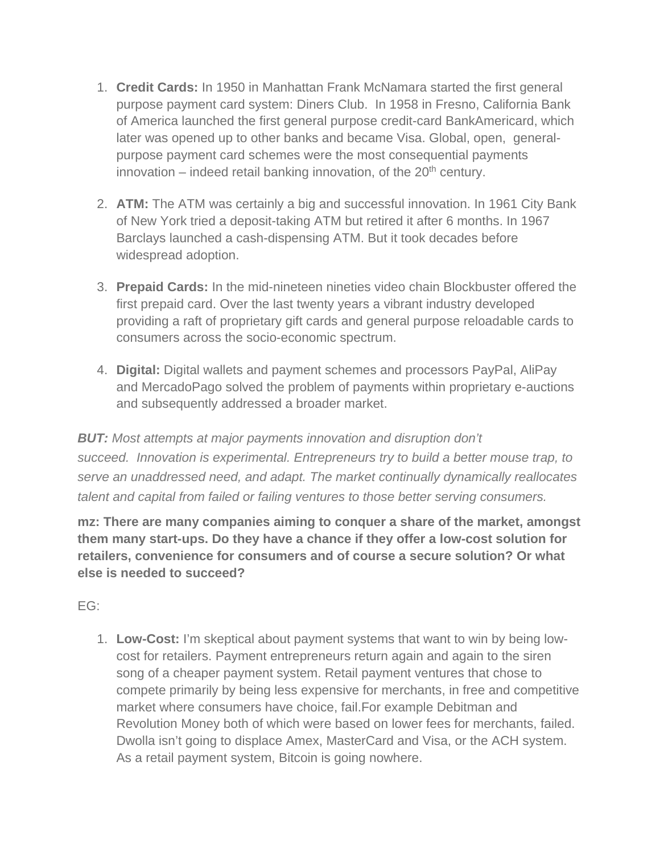- 1. **Credit Cards:** In 1950 in Manhattan Frank McNamara started the first general purpose payment card system: Diners Club. In 1958 in Fresno, California Bank of America launched the first general purpose credit-card BankAmericard, which later was opened up to other banks and became Visa. Global, open, generalpurpose payment card schemes were the most consequential payments innovation – indeed retail banking innovation, of the  $20<sup>th</sup>$  century.
- 2. **ATM:** The ATM was certainly a big and successful innovation. In 1961 City Bank of New York tried a deposit-taking ATM but retired it after 6 months. In 1967 Barclays launched a cash-dispensing ATM. But it took decades before widespread adoption.
- 3. **Prepaid Cards:** In the mid-nineteen nineties video chain Blockbuster offered the first prepaid card. Over the last twenty years a vibrant industry developed providing a raft of proprietary gift cards and general purpose reloadable cards to consumers across the socio-economic spectrum.
- 4. **Digital:** Digital wallets and payment schemes and processors PayPal, AliPay and MercadoPago solved the problem of payments within proprietary e-auctions and subsequently addressed a broader market.

*BUT: Most attempts at major payments innovation and disruption don't succeed. Innovation is experimental. Entrepreneurs try to build a better mouse trap, to serve an unaddressed need, and adapt. The market continually dynamically reallocates talent and capital from failed or failing ventures to those better serving consumers.* 

**mz: There are many companies aiming to conquer a share of the market, amongst them many start-ups. Do they have a chance if they offer a low-cost solution for retailers, convenience for consumers and of course a secure solution? Or what else is needed to succeed?**

EG:

1. **Low-Cost:** I'm skeptical about payment systems that want to win by being lowcost for retailers. Payment entrepreneurs return again and again to the siren song of a cheaper payment system. Retail payment ventures that chose to compete primarily by being less expensive for merchants, in free and competitive market where consumers have choice, fail.For example Debitman and Revolution Money both of which were based on lower fees for merchants, failed. Dwolla isn't going to displace Amex, MasterCard and Visa, or the ACH system. As a retail payment system, Bitcoin is going nowhere.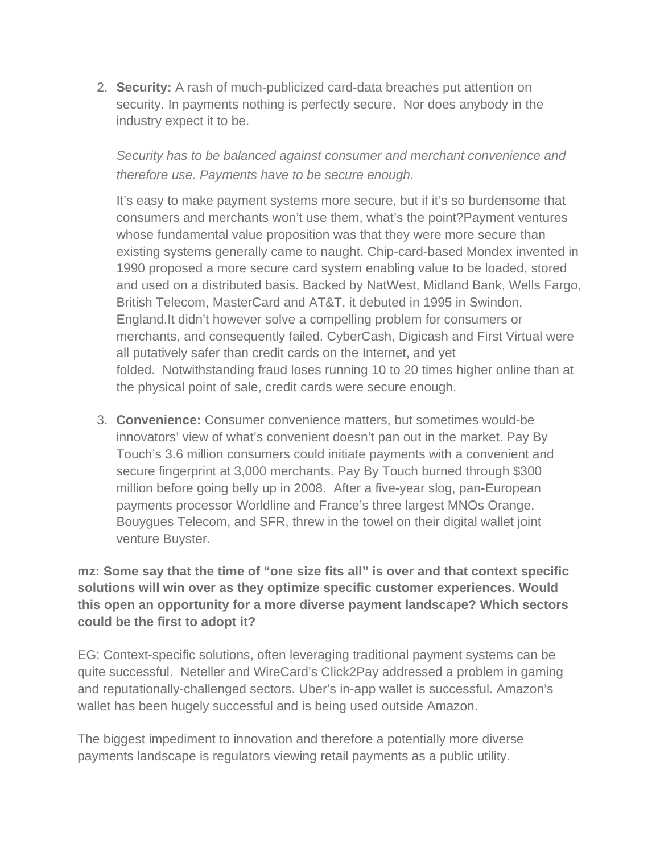2. **Security:** A rash of much-publicized card-data breaches put attention on security. In payments nothing is perfectly secure. Nor does anybody in the industry expect it to be.

## *Security has to be balanced against consumer and merchant convenience and therefore use. Payments have to be secure enough.*

It's easy to make payment systems more secure, but if it's so burdensome that consumers and merchants won't use them, what's the point?Payment ventures whose fundamental value proposition was that they were more secure than existing systems generally came to naught. Chip-card-based Mondex invented in 1990 proposed a more secure card system enabling value to be loaded, stored and used on a distributed basis. Backed by NatWest, Midland Bank, Wells Fargo, British Telecom, MasterCard and AT&T, it debuted in 1995 in Swindon, England.It didn't however solve a compelling problem for consumers or merchants, and consequently failed. CyberCash, Digicash and First Virtual were all putatively safer than credit cards on the Internet, and yet folded. Notwithstanding fraud loses running 10 to 20 times higher online than at the physical point of sale, credit cards were secure enough.

3. **Convenience:** Consumer convenience matters, but sometimes would-be innovators' view of what's convenient doesn't pan out in the market. Pay By Touch's 3.6 million consumers could initiate payments with a convenient and secure fingerprint at 3,000 merchants. Pay By Touch burned through \$300 million before going belly up in 2008. After a five-year slog, pan-European payments processor Worldline and France's three largest MNOs Orange, Bouygues Telecom, and SFR, threw in the towel on their digital wallet joint venture Buyster.

**mz: Some say that the time of "one size fits all" is over and that context specific solutions will win over as they optimize specific customer experiences. Would this open an opportunity for a more diverse payment landscape? Which sectors could be the first to adopt it?**

EG: Context-specific solutions, often leveraging traditional payment systems can be quite successful. Neteller and WireCard's Click2Pay addressed a problem in gaming and reputationally-challenged sectors. Uber's in-app wallet is successful. Amazon's wallet has been hugely successful and is being used outside Amazon.

The biggest impediment to innovation and therefore a potentially more diverse payments landscape is regulators viewing retail payments as a public utility.